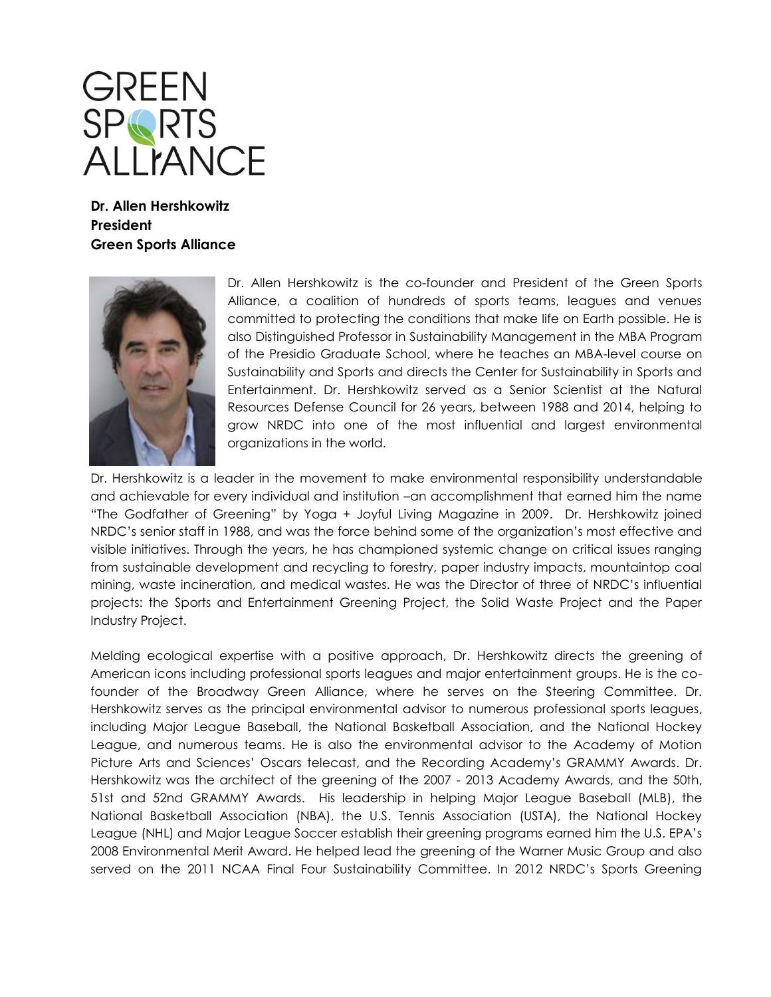

**Dr. Allen Hershkowitz President Green Sports Alliance**



Dr. Allen Hershkowitz is the co-founder and President of the Green Sports Alliance, a coalition of hundreds of sports teams, leagues and venues committed to protecting the conditions that make life on Earth possible. He is also Distinguished Professor in Sustainability Management in the MBA Program of the Presidio Graduate School, where he teaches an MBA-level course on Sustainability and Sports and directs the Center for Sustainability in Sports and Entertainment. Dr. Hershkowitz served as a Senior Scientist at the Natural Resources Defense Council for 26 years, between 1988 and 2014, helping to grow NRDC into one of the most influential and largest environmental organizations in the world.

Dr. Hershkowitz is a leader in the movement to make environmental responsibility understandable and achievable for every individual and institution –an accomplishment that earned him the name "The Godfather of Greening" by Yoga + Joyful Living Magazine in 2009. Dr. Hershkowitz joined NRDC's senior staff in 1988, and was the force behind some of the organization's most effective and visible initiatives. Through the years, he has championed systemic change on critical issues ranging from sustainable development and recycling to forestry, paper industry impacts, mountaintop coal mining, waste incineration, and medical wastes. He was the Director of three of NRDC's influential projects: the Sports and Entertainment Greening Project, the Solid Waste Project and the Paper Industry Project.

Melding ecological expertise with a positive approach, Dr. Hershkowitz directs the greening of American icons including professional sports leagues and major entertainment groups. He is the cofounder of the Broadway Green Alliance, where he serves on the Steering Committee. Dr. Hershkowitz serves as the principal environmental advisor to numerous professional sports leagues, including Major League Baseball, the National Basketball Association, and the National Hockey League, and numerous teams. He is also the environmental advisor to the Academy of Motion Picture Arts and Sciences' Oscars telecast, and the Recording Academy's GRAMMY Awards. Dr. Hershkowitz was the architect of the greening of the 2007 - 2013 Academy Awards, and the 50th, 51st and 52nd GRAMMY Awards. His leadership in helping Major League Baseball (MLB), the National Basketball Association (NBA), the U.S. Tennis Association (USTA), the National Hockey League (NHL) and Major League Soccer establish their greening programs earned him the U.S. EPA's 2008 Environmental Merit Award. He helped lead the greening of the Warner Music Group and also served on the 2011 NCAA Final Four Sustainability Committee. In 2012 NRDC's Sports Greening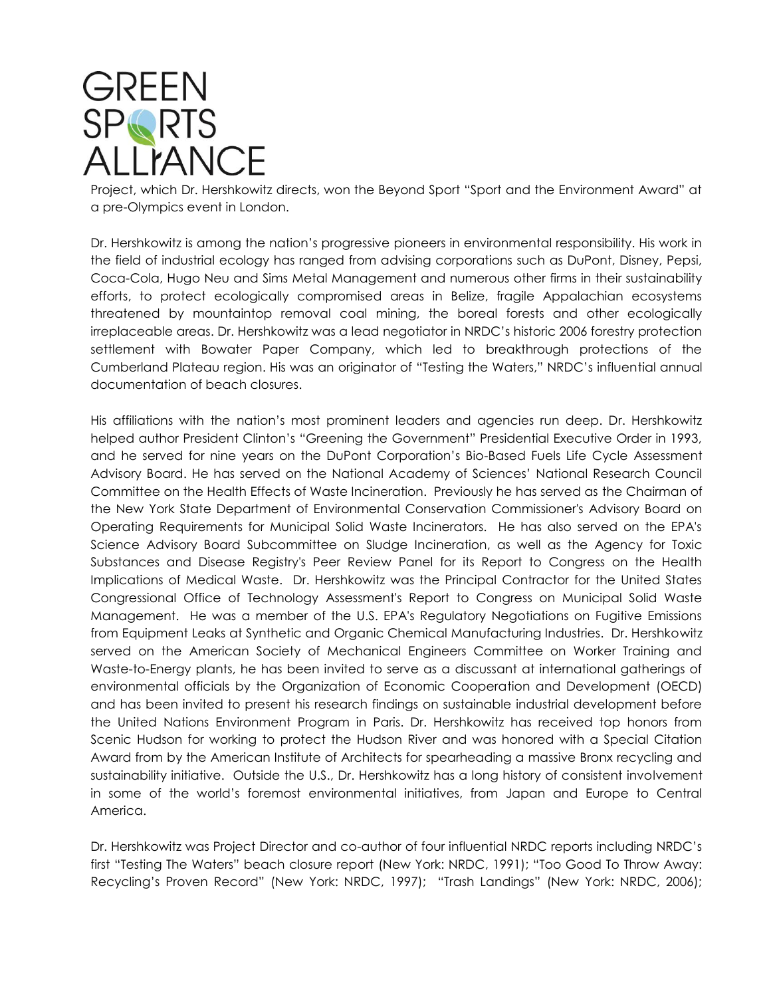## **GREEN SPARTS ALLIANCE**

Project, which Dr. Hershkowitz directs, won the Beyond Sport "Sport and the Environment Award" at a pre-Olympics event in London.

Dr. Hershkowitz is among the nation's progressive pioneers in environmental responsibility. His work in the field of industrial ecology has ranged from advising corporations such as DuPont, Disney, Pepsi, Coca-Cola, Hugo Neu and Sims Metal Management and numerous other firms in their sustainability efforts, to protect ecologically compromised areas in Belize, fragile Appalachian ecosystems threatened by mountaintop removal coal mining, the boreal forests and other ecologically irreplaceable areas. Dr. Hershkowitz was a lead negotiator in NRDC's historic 2006 forestry protection settlement with Bowater Paper Company, which led to breakthrough protections of the Cumberland Plateau region. His was an originator of "Testing the Waters," NRDC's influential annual documentation of beach closures.

His affiliations with the nation's most prominent leaders and agencies run deep. Dr. Hershkowitz helped author President Clinton's "Greening the Government" Presidential Executive Order in 1993, and he served for nine years on the DuPont Corporation's Bio-Based Fuels Life Cycle Assessment Advisory Board. He has served on the National Academy of Sciences' National Research Council Committee on the Health Effects of Waste Incineration. Previously he has served as the Chairman of the New York State Department of Environmental Conservation Commissioner's Advisory Board on Operating Requirements for Municipal Solid Waste Incinerators. He has also served on the EPA's Science Advisory Board Subcommittee on Sludge Incineration, as well as the Agency for Toxic Substances and Disease Registry's Peer Review Panel for its Report to Congress on the Health Implications of Medical Waste. Dr. Hershkowitz was the Principal Contractor for the United States Congressional Office of Technology Assessment's Report to Congress on Municipal Solid Waste Management. He was a member of the U.S. EPA's Regulatory Negotiations on Fugitive Emissions from Equipment Leaks at Synthetic and Organic Chemical Manufacturing Industries. Dr. Hershkowitz served on the American Society of Mechanical Engineers Committee on Worker Training and Waste-to-Energy plants, he has been invited to serve as a discussant at international gatherings of environmental officials by the Organization of Economic Cooperation and Development (OECD) and has been invited to present his research findings on sustainable industrial development before the United Nations Environment Program in Paris. Dr. Hershkowitz has received top honors from Scenic Hudson for working to protect the Hudson River and was honored with a Special Citation Award from by the American Institute of Architects for spearheading a massive Bronx recycling and sustainability initiative. Outside the U.S., Dr. Hershkowitz has a long history of consistent involvement in some of the world's foremost environmental initiatives, from Japan and Europe to Central America.

Dr. Hershkowitz was Project Director and co-author of four influential NRDC reports including NRDC's first "Testing The Waters" beach closure report (New York: NRDC, 1991); "Too Good To Throw Away: Recycling's Proven Record" (New York: NRDC, 1997); "Trash Landings" (New York: NRDC, 2006);